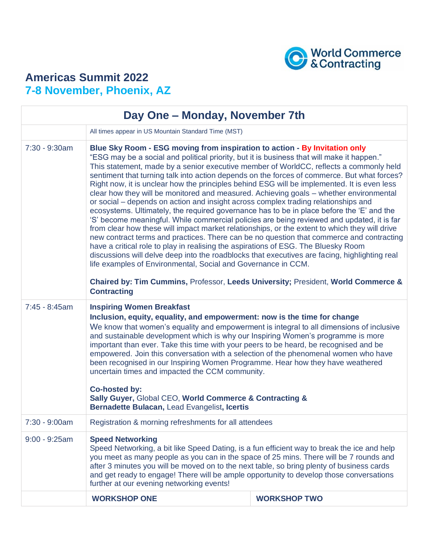

## **Americas Summit 2022 7-8 November, Phoenix, AZ**

| Day One - Monday, November 7th |                                                                                                                                                                                                                                                                                                                                                                                                                                                                                                                                                                                                                                                                                                                                                                                                                                                                                                                                                                                                                                                                                                                                                                                                                                                                                                  |  |  |
|--------------------------------|--------------------------------------------------------------------------------------------------------------------------------------------------------------------------------------------------------------------------------------------------------------------------------------------------------------------------------------------------------------------------------------------------------------------------------------------------------------------------------------------------------------------------------------------------------------------------------------------------------------------------------------------------------------------------------------------------------------------------------------------------------------------------------------------------------------------------------------------------------------------------------------------------------------------------------------------------------------------------------------------------------------------------------------------------------------------------------------------------------------------------------------------------------------------------------------------------------------------------------------------------------------------------------------------------|--|--|
|                                | All times appear in US Mountain Standard Time (MST)                                                                                                                                                                                                                                                                                                                                                                                                                                                                                                                                                                                                                                                                                                                                                                                                                                                                                                                                                                                                                                                                                                                                                                                                                                              |  |  |
| $7:30 - 9:30$ am               | Blue Sky Room - ESG moving from inspiration to action - By Invitation only<br>"ESG may be a social and political priority, but it is business that will make it happen."<br>This statement, made by a senior executive member of WorldCC, reflects a commonly held<br>sentiment that turning talk into action depends on the forces of commerce. But what forces?<br>Right now, it is unclear how the principles behind ESG will be implemented. It is even less<br>clear how they will be monitored and measured. Achieving goals – whether environmental<br>or social – depends on action and insight across complex trading relationships and<br>ecosystems. Ultimately, the required governance has to be in place before the 'E' and the<br>'S' become meaningful. While commercial policies are being reviewed and updated, it is far<br>from clear how these will impact market relationships, or the extent to which they will drive<br>new contract terms and practices. There can be no question that commerce and contracting<br>have a critical role to play in realising the aspirations of ESG. The Bluesky Room<br>discussions will delve deep into the roadblocks that executives are facing, highlighting real<br>life examples of Environmental, Social and Governance in CCM. |  |  |
|                                | Chaired by: Tim Cummins, Professor, Leeds University; President, World Commerce &<br><b>Contracting</b>                                                                                                                                                                                                                                                                                                                                                                                                                                                                                                                                                                                                                                                                                                                                                                                                                                                                                                                                                                                                                                                                                                                                                                                          |  |  |
| $7:45 - 8:45am$                | <b>Inspiring Women Breakfast</b><br>Inclusion, equity, equality, and empowerment: now is the time for change<br>We know that women's equality and empowerment is integral to all dimensions of inclusive<br>and sustainable development which is why our Inspiring Women's programme is more<br>important than ever. Take this time with your peers to be heard, be recognised and be<br>empowered. Join this conversation with a selection of the phenomenal women who have<br>been recognised in our Inspiring Women Programme. Hear how they have weathered<br>uncertain times and impacted the CCM community.<br><b>Co-hosted by:</b><br>Sally Guyer, Global CEO, World Commerce & Contracting &                                                                                                                                                                                                                                                                                                                                                                                                                                                                                                                                                                                             |  |  |
| 7:30 - 9:00am                  | Bernadette Bulacan, Lead Evangelist, Icertis<br>Registration & morning refreshments for all attendees                                                                                                                                                                                                                                                                                                                                                                                                                                                                                                                                                                                                                                                                                                                                                                                                                                                                                                                                                                                                                                                                                                                                                                                            |  |  |
| $9:00 - 9:25am$                | <b>Speed Networking</b><br>Speed Networking, a bit like Speed Dating, is a fun efficient way to break the ice and help<br>you meet as many people as you can in the space of 25 mins. There will be 7 rounds and<br>after 3 minutes you will be moved on to the next table, so bring plenty of business cards<br>and get ready to engage! There will be ample opportunity to develop those conversations<br>further at our evening networking events!                                                                                                                                                                                                                                                                                                                                                                                                                                                                                                                                                                                                                                                                                                                                                                                                                                            |  |  |
|                                | <b>WORKSHOP ONE</b><br><b>WORKSHOP TWO</b>                                                                                                                                                                                                                                                                                                                                                                                                                                                                                                                                                                                                                                                                                                                                                                                                                                                                                                                                                                                                                                                                                                                                                                                                                                                       |  |  |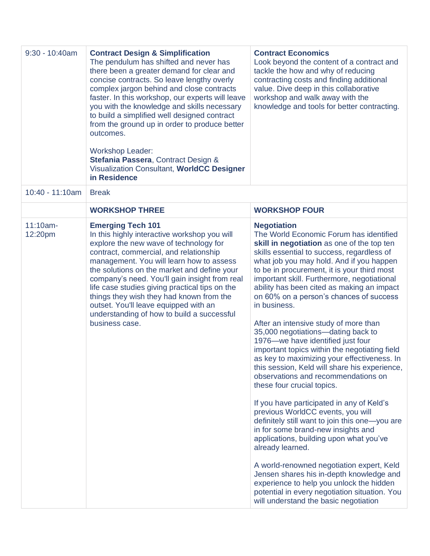| $9:30 - 10:40$ am   | <b>Contract Design &amp; Simplification</b><br>The pendulum has shifted and never has<br>there been a greater demand for clear and<br>concise contracts. So leave lengthy overly<br>complex jargon behind and close contracts<br>faster. In this workshop, our experts will leave<br>you with the knowledge and skills necessary<br>to build a simplified well designed contract<br>from the ground up in order to produce better<br>outcomes.<br><b>Workshop Leader:</b><br>Stefania Passera, Contract Design &<br>Visualization Consultant, WorldCC Designer<br>in Residence | <b>Contract Economics</b><br>Look beyond the content of a contract and<br>tackle the how and why of reducing<br>contracting costs and finding additional<br>value. Dive deep in this collaborative<br>workshop and walk away with the<br>knowledge and tools for better contracting.                                                                                                                                                                                                                                                                                                                                                                                                                                                                                                                                                                                                                                                                                                                                                                                                                                                                                                                                           |
|---------------------|--------------------------------------------------------------------------------------------------------------------------------------------------------------------------------------------------------------------------------------------------------------------------------------------------------------------------------------------------------------------------------------------------------------------------------------------------------------------------------------------------------------------------------------------------------------------------------|--------------------------------------------------------------------------------------------------------------------------------------------------------------------------------------------------------------------------------------------------------------------------------------------------------------------------------------------------------------------------------------------------------------------------------------------------------------------------------------------------------------------------------------------------------------------------------------------------------------------------------------------------------------------------------------------------------------------------------------------------------------------------------------------------------------------------------------------------------------------------------------------------------------------------------------------------------------------------------------------------------------------------------------------------------------------------------------------------------------------------------------------------------------------------------------------------------------------------------|
| 10:40 - 11:10am     | <b>Break</b>                                                                                                                                                                                                                                                                                                                                                                                                                                                                                                                                                                   |                                                                                                                                                                                                                                                                                                                                                                                                                                                                                                                                                                                                                                                                                                                                                                                                                                                                                                                                                                                                                                                                                                                                                                                                                                |
|                     | <b>WORKSHOP THREE</b>                                                                                                                                                                                                                                                                                                                                                                                                                                                                                                                                                          | <b>WORKSHOP FOUR</b>                                                                                                                                                                                                                                                                                                                                                                                                                                                                                                                                                                                                                                                                                                                                                                                                                                                                                                                                                                                                                                                                                                                                                                                                           |
| 11:10am-<br>12:20pm | <b>Emerging Tech 101</b><br>In this highly interactive workshop you will<br>explore the new wave of technology for<br>contract, commercial, and relationship<br>management. You will learn how to assess<br>the solutions on the market and define your<br>company's need. You'll gain insight from real<br>life case studies giving practical tips on the<br>things they wish they had known from the<br>outset. You'll leave equipped with an<br>understanding of how to build a successful<br>business case.                                                                | <b>Negotiation</b><br>The World Economic Forum has identified<br>skill in negotiation as one of the top ten<br>skills essential to success, regardless of<br>what job you may hold. And if you happen<br>to be in procurement, it is your third most<br>important skill. Furthermore, negotiational<br>ability has been cited as making an impact<br>on 60% on a person's chances of success<br>in business.<br>After an intensive study of more than<br>35,000 negotiations-dating back to<br>1976-we have identified just four<br>important topics within the negotiating field<br>as key to maximizing your effectiveness. In<br>this session, Keld will share his experience,<br>observations and recommendations on<br>these four crucial topics.<br>If you have participated in any of Keld's<br>previous WorldCC events, you will<br>definitely still want to join this one-you are<br>in for some brand-new insights and<br>applications, building upon what you've<br>already learned.<br>A world-renowned negotiation expert, Keld<br>Jensen shares his in-depth knowledge and<br>experience to help you unlock the hidden<br>potential in every negotiation situation. You<br>will understand the basic negotiation |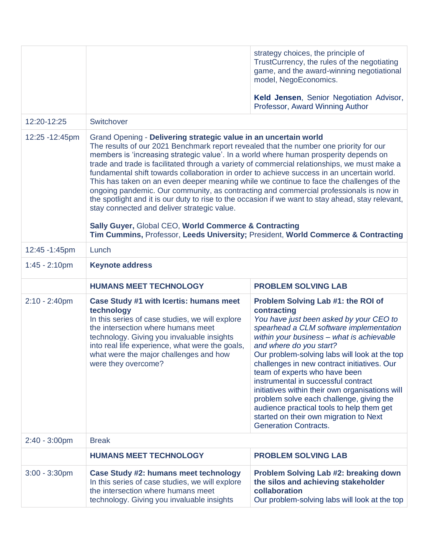|                  |                                                                                                                                                                                                                                                                                                                                                                                                                                                                                                                                                                                                                                                                                                                                                                                             | strategy choices, the principle of<br>TrustCurrency, the rules of the negotiating<br>game, and the award-winning negotiational<br>model, NegoEconomics.<br>Keld Jensen, Senior Negotiation Advisor,<br>Professor, Award Winning Author                                                                                                                                                                                                                                                                                                                                                                        |
|------------------|---------------------------------------------------------------------------------------------------------------------------------------------------------------------------------------------------------------------------------------------------------------------------------------------------------------------------------------------------------------------------------------------------------------------------------------------------------------------------------------------------------------------------------------------------------------------------------------------------------------------------------------------------------------------------------------------------------------------------------------------------------------------------------------------|---------------------------------------------------------------------------------------------------------------------------------------------------------------------------------------------------------------------------------------------------------------------------------------------------------------------------------------------------------------------------------------------------------------------------------------------------------------------------------------------------------------------------------------------------------------------------------------------------------------|
| 12:20-12:25      | Switchover                                                                                                                                                                                                                                                                                                                                                                                                                                                                                                                                                                                                                                                                                                                                                                                  |                                                                                                                                                                                                                                                                                                                                                                                                                                                                                                                                                                                                               |
| 12:25 - 12:45pm  | Grand Opening - Delivering strategic value in an uncertain world<br>The results of our 2021 Benchmark report revealed that the number one priority for our<br>members is 'increasing strategic value'. In a world where human prosperity depends on<br>trade and trade is facilitated through a variety of commercial relationships, we must make a<br>fundamental shift towards collaboration in order to achieve success in an uncertain world.<br>This has taken on an even deeper meaning while we continue to face the challenges of the<br>ongoing pandemic. Our community, as contracting and commercial professionals is now in<br>the spotlight and it is our duty to rise to the occasion if we want to stay ahead, stay relevant,<br>stay connected and deliver strategic value. |                                                                                                                                                                                                                                                                                                                                                                                                                                                                                                                                                                                                               |
|                  | Sally Guyer, Global CEO, World Commerce & Contracting<br>Tim Cummins, Professor, Leeds University; President, World Commerce & Contracting                                                                                                                                                                                                                                                                                                                                                                                                                                                                                                                                                                                                                                                  |                                                                                                                                                                                                                                                                                                                                                                                                                                                                                                                                                                                                               |
| 12:45 - 1:45pm   | Lunch                                                                                                                                                                                                                                                                                                                                                                                                                                                                                                                                                                                                                                                                                                                                                                                       |                                                                                                                                                                                                                                                                                                                                                                                                                                                                                                                                                                                                               |
| $1:45 - 2:10$ pm | <b>Keynote address</b>                                                                                                                                                                                                                                                                                                                                                                                                                                                                                                                                                                                                                                                                                                                                                                      |                                                                                                                                                                                                                                                                                                                                                                                                                                                                                                                                                                                                               |
|                  | <b>HUMANS MEET TECHNOLOGY</b>                                                                                                                                                                                                                                                                                                                                                                                                                                                                                                                                                                                                                                                                                                                                                               | <b>PROBLEM SOLVING LAB</b>                                                                                                                                                                                                                                                                                                                                                                                                                                                                                                                                                                                    |
| $2:10 - 2:40$ pm | Case Study #1 with Icertis: humans meet<br>technology<br>In this series of case studies, we will explore<br>the intersection where humans meet<br>technology. Giving you invaluable insights<br>into real life experience, what were the goals,<br>what were the major challenges and how<br>were they overcome?                                                                                                                                                                                                                                                                                                                                                                                                                                                                            | Problem Solving Lab #1: the ROI of<br>contracting<br>You have just been asked by your CEO to<br>spearhead a CLM software implementation<br>within your business - what is achievable<br>and where do you start?<br>Our problem-solving labs will look at the top<br>challenges in new contract initiatives. Our<br>team of experts who have been<br>instrumental in successful contract<br>initiatives within their own organisations will<br>problem solve each challenge, giving the<br>audience practical tools to help them get<br>started on their own migration to Next<br><b>Generation Contracts.</b> |
| $2:40 - 3:00$ pm | <b>Break</b>                                                                                                                                                                                                                                                                                                                                                                                                                                                                                                                                                                                                                                                                                                                                                                                |                                                                                                                                                                                                                                                                                                                                                                                                                                                                                                                                                                                                               |
|                  | <b>HUMANS MEET TECHNOLOGY</b>                                                                                                                                                                                                                                                                                                                                                                                                                                                                                                                                                                                                                                                                                                                                                               | <b>PROBLEM SOLVING LAB</b>                                                                                                                                                                                                                                                                                                                                                                                                                                                                                                                                                                                    |
| $3:00 - 3:30$ pm | <b>Case Study #2: humans meet technology</b><br>In this series of case studies, we will explore<br>the intersection where humans meet<br>technology. Giving you invaluable insights                                                                                                                                                                                                                                                                                                                                                                                                                                                                                                                                                                                                         | <b>Problem Solving Lab #2: breaking down</b><br>the silos and achieving stakeholder<br>collaboration<br>Our problem-solving labs will look at the top                                                                                                                                                                                                                                                                                                                                                                                                                                                         |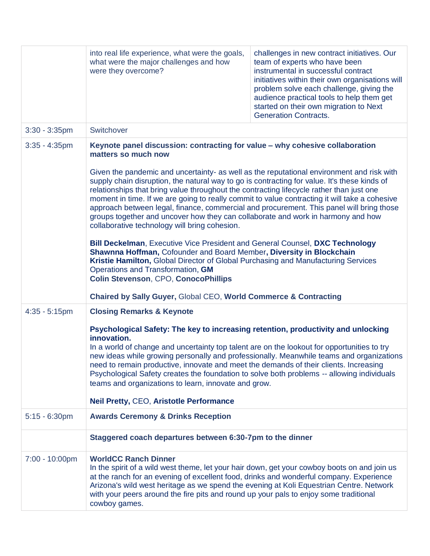|                  | into real life experience, what were the goals,<br>what were the major challenges and how<br>were they overcome?                                                                                                                                                                                                                                                                                                                                                                                                                                                                                                                                                                                                               | challenges in new contract initiatives. Our<br>team of experts who have been<br>instrumental in successful contract<br>initiatives within their own organisations will<br>problem solve each challenge, giving the<br>audience practical tools to help them get<br>started on their own migration to Next<br><b>Generation Contracts.</b> |  |
|------------------|--------------------------------------------------------------------------------------------------------------------------------------------------------------------------------------------------------------------------------------------------------------------------------------------------------------------------------------------------------------------------------------------------------------------------------------------------------------------------------------------------------------------------------------------------------------------------------------------------------------------------------------------------------------------------------------------------------------------------------|-------------------------------------------------------------------------------------------------------------------------------------------------------------------------------------------------------------------------------------------------------------------------------------------------------------------------------------------|--|
| $3:30 - 3:35$ pm | Switchover                                                                                                                                                                                                                                                                                                                                                                                                                                                                                                                                                                                                                                                                                                                     |                                                                                                                                                                                                                                                                                                                                           |  |
| $3:35 - 4:35$ pm | Keynote panel discussion: contracting for value - why cohesive collaboration<br>matters so much now<br>Given the pandemic and uncertainty- as well as the reputational environment and risk with<br>supply chain disruption, the natural way to go is contracting for value. It's these kinds of<br>relationships that bring value throughout the contracting lifecycle rather than just one<br>moment in time. If we are going to really commit to value contracting it will take a cohesive<br>approach between legal, finance, commercial and procurement. This panel will bring those<br>groups together and uncover how they can collaborate and work in harmony and how<br>collaborative technology will bring cohesion. |                                                                                                                                                                                                                                                                                                                                           |  |
|                  |                                                                                                                                                                                                                                                                                                                                                                                                                                                                                                                                                                                                                                                                                                                                |                                                                                                                                                                                                                                                                                                                                           |  |
|                  | Bill Deckelman, Executive Vice President and General Counsel, DXC Technology<br>Shawnna Hoffman, Cofounder and Board Member, Diversity in Blockchain<br>Kristie Hamilton, Global Director of Global Purchasing and Manufacturing Services<br>Operations and Transformation, GM<br><b>Colin Stevenson, CPO, ConocoPhillips</b>                                                                                                                                                                                                                                                                                                                                                                                                  |                                                                                                                                                                                                                                                                                                                                           |  |
|                  | <b>Chaired by Sally Guyer, Global CEO, World Commerce &amp; Contracting</b>                                                                                                                                                                                                                                                                                                                                                                                                                                                                                                                                                                                                                                                    |                                                                                                                                                                                                                                                                                                                                           |  |
| $4:35 - 5:15$ pm | <b>Closing Remarks &amp; Keynote</b>                                                                                                                                                                                                                                                                                                                                                                                                                                                                                                                                                                                                                                                                                           |                                                                                                                                                                                                                                                                                                                                           |  |
|                  | Psychological Safety: The key to increasing retention, productivity and unlocking<br>innovation.<br>In a world of change and uncertainty top talent are on the lookout for opportunities to try<br>new ideas while growing personally and professionally. Meanwhile teams and organizations<br>need to remain productive, innovate and meet the demands of their clients. Increasing<br>Psychological Safety creates the foundation to solve both problems -- allowing individuals<br>teams and organizations to learn, innovate and grow.                                                                                                                                                                                     |                                                                                                                                                                                                                                                                                                                                           |  |
|                  |                                                                                                                                                                                                                                                                                                                                                                                                                                                                                                                                                                                                                                                                                                                                |                                                                                                                                                                                                                                                                                                                                           |  |
|                  | <b>Neil Pretty, CEO, Aristotle Performance</b>                                                                                                                                                                                                                                                                                                                                                                                                                                                                                                                                                                                                                                                                                 |                                                                                                                                                                                                                                                                                                                                           |  |
| $5:15 - 6:30$ pm | <b>Awards Ceremony &amp; Drinks Reception</b>                                                                                                                                                                                                                                                                                                                                                                                                                                                                                                                                                                                                                                                                                  |                                                                                                                                                                                                                                                                                                                                           |  |
|                  | Staggered coach departures between 6:30-7pm to the dinner                                                                                                                                                                                                                                                                                                                                                                                                                                                                                                                                                                                                                                                                      |                                                                                                                                                                                                                                                                                                                                           |  |
| 7:00 - 10:00pm   | <b>WorldCC Ranch Dinner</b><br>In the spirit of a wild west theme, let your hair down, get your cowboy boots on and join us<br>at the ranch for an evening of excellent food, drinks and wonderful company. Experience<br>Arizona's wild west heritage as we spend the evening at Koli Equestrian Centre. Network<br>with your peers around the fire pits and round up your pals to enjoy some traditional<br>cowboy games.                                                                                                                                                                                                                                                                                                    |                                                                                                                                                                                                                                                                                                                                           |  |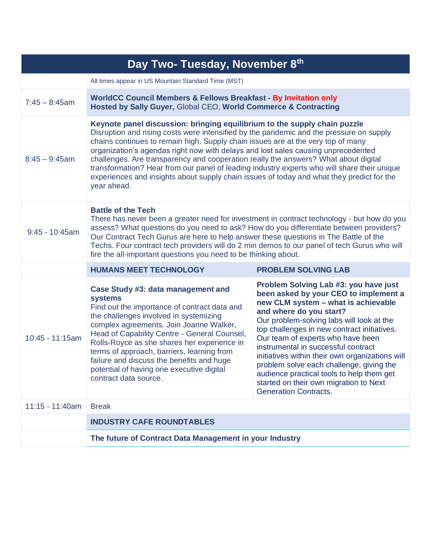| Day Two- Tuesday, November 8th |                                                                                                                                                                                                                                                                                                                                                                                                                                                                                                                                                                                                                                                 |                                                                                                                                                                                                                                                                                                                                                                                                                                                                                                                                                |
|--------------------------------|-------------------------------------------------------------------------------------------------------------------------------------------------------------------------------------------------------------------------------------------------------------------------------------------------------------------------------------------------------------------------------------------------------------------------------------------------------------------------------------------------------------------------------------------------------------------------------------------------------------------------------------------------|------------------------------------------------------------------------------------------------------------------------------------------------------------------------------------------------------------------------------------------------------------------------------------------------------------------------------------------------------------------------------------------------------------------------------------------------------------------------------------------------------------------------------------------------|
|                                | All times appear in US Mountain Standard Time (MST)                                                                                                                                                                                                                                                                                                                                                                                                                                                                                                                                                                                             |                                                                                                                                                                                                                                                                                                                                                                                                                                                                                                                                                |
| $7:45 - 8:45$ am               | <b>WorldCC Council Members &amp; Fellows Breakfast - By Invitation only</b><br>Hosted by Sally Guyer, Global CEO, World Commerce & Contracting                                                                                                                                                                                                                                                                                                                                                                                                                                                                                                  |                                                                                                                                                                                                                                                                                                                                                                                                                                                                                                                                                |
| $8:45 - 9:45$ am               | Keynote panel discussion: bringing equilibrium to the supply chain puzzle<br>Disruption and rising costs were intensified by the pandemic and the pressure on supply<br>chains continues to remain high. Supply chain issues are at the very top of many<br>organization's agendas right now with delays and lost sales causing unprecedented<br>challenges. Are transparency and cooperation really the answers? What about digital<br>transformation? Hear from our panel of leading industry experts who will share their unique<br>experiences and insights about supply chain issues of today and what they predict for the<br>year ahead. |                                                                                                                                                                                                                                                                                                                                                                                                                                                                                                                                                |
| $9:45 - 10:45am$               | <b>Battle of the Tech</b><br>There has never been a greater need for investment in contract technology - but how do you<br>assess? What questions do you need to ask? How do you differentiate between providers?<br>Our Contract Tech Gurus are here to help answer these questions in The Battle of the<br>Techs. Four contract tech providers will do 2 min demos to our panel of tech Gurus who will<br>fire the all-important questions you need to be thinking about.                                                                                                                                                                     |                                                                                                                                                                                                                                                                                                                                                                                                                                                                                                                                                |
|                                | <b>HUMANS MEET TECHNOLOGY</b>                                                                                                                                                                                                                                                                                                                                                                                                                                                                                                                                                                                                                   | <b>PROBLEM SOLVING LAB</b>                                                                                                                                                                                                                                                                                                                                                                                                                                                                                                                     |
| 10:45 - 11:15am                | Case Study #3: data management and<br><b>systems</b><br>Find out the importance of contract data and<br>the challenges involved in systemizing<br>complex agreements. Join Joanne Walker,<br>Head of Capability Centre - General Counsel,<br>Rolls-Royce as she shares her experience in<br>terms of approach, barriers, learning from<br>failure and discuss the benefits and huge<br>potential of having one executive digital<br>contract data source.                                                                                                                                                                                       | Problem Solving Lab #3: you have just<br>been asked by your CEO to implement a<br>new CLM system - what is achievable<br>and where do you start?<br>Our problem-solving labs will look at the<br>top challenges in new contract initiatives.<br>Our team of experts who have been<br>instrumental in successful contract<br>initiatives within their own organizations will<br>problem solve each challenge, giving the<br>audience practical tools to help them get<br>started on their own migration to Next<br><b>Generation Contracts.</b> |
| 11:15 - 11:40am                | <b>Break</b>                                                                                                                                                                                                                                                                                                                                                                                                                                                                                                                                                                                                                                    |                                                                                                                                                                                                                                                                                                                                                                                                                                                                                                                                                |
|                                | <b>INDUSTRY CAFE ROUNDTABLES</b>                                                                                                                                                                                                                                                                                                                                                                                                                                                                                                                                                                                                                |                                                                                                                                                                                                                                                                                                                                                                                                                                                                                                                                                |
|                                | The future of Contract Data Management in your Industry                                                                                                                                                                                                                                                                                                                                                                                                                                                                                                                                                                                         |                                                                                                                                                                                                                                                                                                                                                                                                                                                                                                                                                |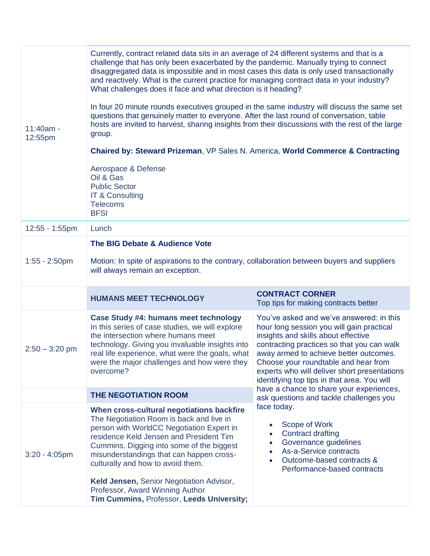| $11:40am -$<br>12:55pm | Currently, contract related data sits in an average of 24 different systems and that is a<br>challenge that has only been exacerbated by the pandemic. Manually trying to connect<br>disaggregated data is impossible and in most cases this data is only used transactionally<br>and reactively. What is the current practice for managing contract data in your industry?<br>What challenges does it face and what direction is it heading?<br>In four 20 minute rounds executives grouped in the same industry will discuss the same set<br>questions that genuinely matter to everyone. After the last round of conversation, table<br>hosts are invited to harvest, sharing insights from their discussions with the rest of the large<br>group.<br>Chaired by: Steward Prizeman, VP Sales N. America, World Commerce & Contracting |                                                                                                                                                                                                                                                                                                                                                             |
|------------------------|------------------------------------------------------------------------------------------------------------------------------------------------------------------------------------------------------------------------------------------------------------------------------------------------------------------------------------------------------------------------------------------------------------------------------------------------------------------------------------------------------------------------------------------------------------------------------------------------------------------------------------------------------------------------------------------------------------------------------------------------------------------------------------------------------------------------------------------|-------------------------------------------------------------------------------------------------------------------------------------------------------------------------------------------------------------------------------------------------------------------------------------------------------------------------------------------------------------|
|                        |                                                                                                                                                                                                                                                                                                                                                                                                                                                                                                                                                                                                                                                                                                                                                                                                                                          |                                                                                                                                                                                                                                                                                                                                                             |
|                        | Aerospace & Defense<br>Oil & Gas<br><b>Public Sector</b><br>IT & Consulting<br><b>Telecoms</b><br><b>BFSI</b>                                                                                                                                                                                                                                                                                                                                                                                                                                                                                                                                                                                                                                                                                                                            |                                                                                                                                                                                                                                                                                                                                                             |
| 12:55 - 1:55pm         | Lunch                                                                                                                                                                                                                                                                                                                                                                                                                                                                                                                                                                                                                                                                                                                                                                                                                                    |                                                                                                                                                                                                                                                                                                                                                             |
| $1:55 - 2:50$ pm       | The BIG Debate & Audience Vote<br>Motion: In spite of aspirations to the contrary, collaboration between buyers and suppliers<br>will always remain an exception.                                                                                                                                                                                                                                                                                                                                                                                                                                                                                                                                                                                                                                                                        |                                                                                                                                                                                                                                                                                                                                                             |
|                        | <b>HUMANS MEET TECHNOLOGY</b>                                                                                                                                                                                                                                                                                                                                                                                                                                                                                                                                                                                                                                                                                                                                                                                                            | <b>CONTRACT CORNER</b><br>Top tips for making contracts better                                                                                                                                                                                                                                                                                              |
| $2:50 - 3:20$ pm       | <b>Case Study #4: humans meet technology</b><br>In this series of case studies, we will explore<br>the intersection where humans meet<br>technology. Giving you invaluable insights into<br>real life experience, what were the goals, what<br>were the major challenges and how were they<br>overcome?                                                                                                                                                                                                                                                                                                                                                                                                                                                                                                                                  | You've asked and we've answered: in this<br>hour long session you will gain practical<br>insights and skills about effective<br>contracting practices so that you can walk<br>away armed to achieve better outcomes.<br>Choose your roundtable and hear from<br>experts who will deliver short presentations<br>identifying top tips in that area. You will |
|                        | <b>THE NEGOTIATION ROOM</b>                                                                                                                                                                                                                                                                                                                                                                                                                                                                                                                                                                                                                                                                                                                                                                                                              | have a chance to share your experiences,<br>ask questions and tackle challenges you                                                                                                                                                                                                                                                                         |
| $3:20 - 4:05$ pm       | When cross-cultural negotiations backfire<br>The Negotiation Room is back and live in<br>person with WorldCC Negotiation Expert in<br>residence Keld Jensen and President Tim<br>Cummins. Digging into some of the biggest<br>misunderstandings that can happen cross-<br>culturally and how to avoid them.<br>Keld Jensen, Senior Negotiation Advisor,<br>Professor, Award Winning Author<br>Tim Cummins, Professor, Leeds University;                                                                                                                                                                                                                                                                                                                                                                                                  | face today.<br>Scope of Work<br><b>Contract drafting</b><br>$\bullet$<br>Governance guidelines<br>$\bullet$<br>As-a-Service contracts<br>$\bullet$<br>Outcome-based contracts &<br>$\bullet$<br>Performance-based contracts                                                                                                                                 |